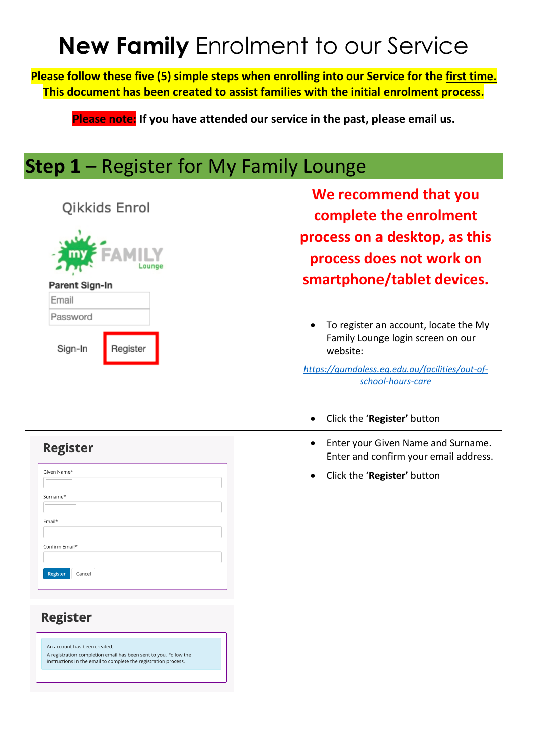# **New Family** Enrolment to our Service

**Please follow these five (5) simple steps when enrolling into our Service for the first time. This document has been created to assist families with the initial enrolment process.**

**Please note: If you have attended our service in the past, please email us.**

#### **Step 1** – Register for My Family Lounge

| Qikkids Enrol<br>Parent Sign-In                                                                                                                                                                                                                                                        | We recommend that you<br>complete the enrolment<br>process on a desktop, as this<br>process does not work on<br>smartphone/tablet devices.                                                   |
|----------------------------------------------------------------------------------------------------------------------------------------------------------------------------------------------------------------------------------------------------------------------------------------|----------------------------------------------------------------------------------------------------------------------------------------------------------------------------------------------|
| Email<br>Password<br>Sign-In<br>Register                                                                                                                                                                                                                                               | To register an account, locate the My<br>Family Lounge login screen on our<br>website:<br>https://gumdaless.eq.edu.au/facilities/out-of-<br>school-hours-care<br>Click the 'Register' button |
| <b>Register</b><br>Given Name*<br>Surname*<br>Email*<br>Confirm Email*<br>Register<br>Cancel<br><b>Register</b><br>An account has been created.<br>A registration completion email has been sent to you. Follow the<br>instructions in the email to complete the registration process. | Enter your Given Name and Surname.<br>Enter and confirm your email address.<br>Click the 'Register' button                                                                                   |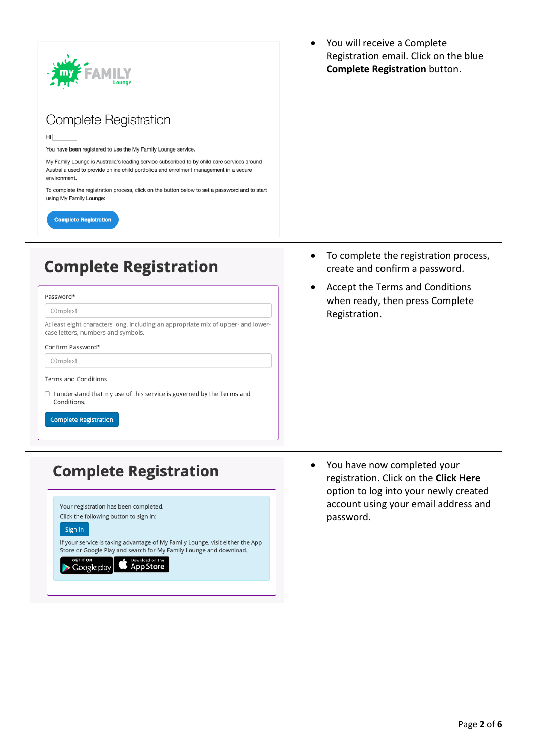| Complete Registration<br>Hi<br>You have been registered to use the My Family Lounge service.<br>My Family Lounge is Australia's leading service subscribed to by child care services around<br>Australia used to provide online child portfolios and enrolment management in a secure<br>environment.<br>To complete the registration process, click on the button below to set a password and to start<br>using My Family Lounge:<br><b>Complete Registration</b> | You will receive a Complete<br>Registration email. Click on the blue<br><b>Complete Registration button.</b>                                                       |
|--------------------------------------------------------------------------------------------------------------------------------------------------------------------------------------------------------------------------------------------------------------------------------------------------------------------------------------------------------------------------------------------------------------------------------------------------------------------|--------------------------------------------------------------------------------------------------------------------------------------------------------------------|
| <b>Complete Registration</b><br>Password*<br>C0mplex!<br>At least eight characters long, including an appropriate mix of upper- and lower-<br>case letters, numbers and symbols.<br>Confirm Password*<br>C0mplex!<br>Terms and Conditions<br>$\Box$ I understand that my use of this service is governed by the Terms and<br>Conditions.<br><b>Complete Registration</b>                                                                                           | To complete the registration process,<br>create and confirm a password.<br>Accept the Terms and Conditions<br>when ready, then press Complete<br>Registration.     |
| <b>Complete Registration</b><br>Your registration has been completed.<br>Click the following button to sign in:<br>Sign In<br>If your service is taking advantage of My Family Lounge, visit either the App<br>Store or Google Play and search for My Family Lounge and download.<br>Download on the<br><b>GET IT ON</b><br><b>App Store</b><br>Google play                                                                                                        | You have now completed your<br>registration. Click on the Click Here<br>option to log into your newly created<br>account using your email address and<br>password. |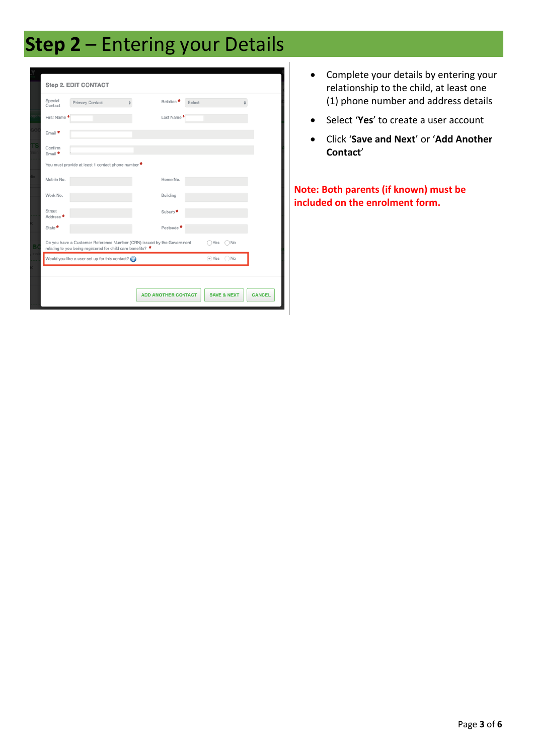## **Step 2** – Entering your Details

|    |                                                                                                                                                          | Step 2. EDIT CONTACT                             |                            |             |                        |               |
|----|----------------------------------------------------------------------------------------------------------------------------------------------------------|--------------------------------------------------|----------------------------|-------------|------------------------|---------------|
|    | Special<br>Contact                                                                                                                                       | <b>Primary Contact</b><br>A.                     | Relation <sup>*</sup>      | Select      | $\triangleq$           |               |
|    | First Name <sup>4</sup>                                                                                                                                  |                                                  | Last Name <sup>1</sup>     |             |                        |               |
| ïО | Email <sup>*</sup>                                                                                                                                       |                                                  |                            |             |                        |               |
| K  | Confirm<br>Email $\star$                                                                                                                                 |                                                  |                            |             |                        |               |
|    |                                                                                                                                                          | You must provide at least 1 contact phone number |                            |             |                        |               |
|    | Mobile No.                                                                                                                                               |                                                  | Home No.                   |             |                        |               |
|    | Work No.                                                                                                                                                 |                                                  | Building                   |             |                        |               |
|    | Street<br>Address <sup>*</sup>                                                                                                                           |                                                  | Suburb <sup>*</sup>        |             |                        |               |
|    | State <sup>*</sup>                                                                                                                                       |                                                  | Postcode <sup>4</sup>      |             |                        |               |
| B  | Do you have a Customer Reference Number (CRN) issued by the Government<br>$\nabla$<br>Yes<br>relating to you being registered for child care benefits? * |                                                  |                            |             |                        |               |
|    |                                                                                                                                                          | Would you like a user set up for this contact?   |                            | $\circ$ Yes | No                     |               |
|    |                                                                                                                                                          |                                                  |                            |             |                        |               |
|    |                                                                                                                                                          |                                                  | <b>ADD ANOTHER CONTACT</b> |             | <b>SAVE &amp; NEXT</b> | <b>CANCEL</b> |

- Complete your details by entering your relationship to the child, at least one (1) phone number and address details
- Select '**Yes**' to create a user account
- Click '**Save and Next**' or '**Add Another Contact**'

**Note: Both parents (if known) must be included on the enrolment form.**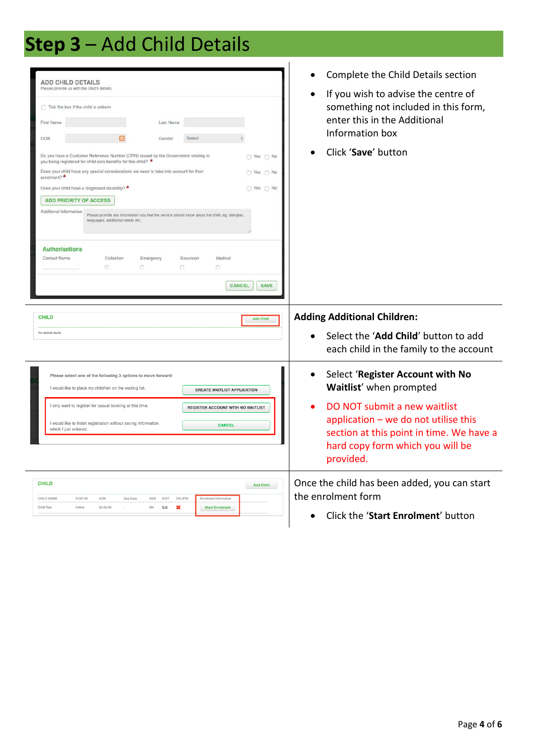## **Step 3** – Add Child Details

| <b>ADD CHILD DETAILS</b><br>Please provide us with the child's details.<br>$\Box$ Tick the box if the child is unborn<br>Last Name<br>First Name<br>DOB<br>Select<br>Gender<br>Do you have a Customer Reference Number (CRN) issued by the Government relating to<br>○ Yes ○ No<br>you being registered for child care benefits for this child? *<br>Does your child have any special considerations we need to take into account for their<br>○ Yes ○ No<br>enrolment?<br>Does your child have a diagnosed disability? *<br>○ Yes ○ No<br><b>ADD PRIORITY OF ACCESS</b><br>Additional Information<br>Please provide any information you feel the service should know about the child. eg, allergies,<br>languages, additional needs etc.<br><b>Authorisations</b><br>Contact Name<br>Collection<br>Emergency<br>Excursion<br>Medical<br>8<br>o.<br>0<br>o<br>CANCEL<br><b>SAVE</b> | Complete the Child Details section<br>If you wish to advise the centre of<br>something not included in this form,<br>enter this in the Additional<br>Information box<br>Click 'Save' button<br>$\bullet$ |
|-------------------------------------------------------------------------------------------------------------------------------------------------------------------------------------------------------------------------------------------------------------------------------------------------------------------------------------------------------------------------------------------------------------------------------------------------------------------------------------------------------------------------------------------------------------------------------------------------------------------------------------------------------------------------------------------------------------------------------------------------------------------------------------------------------------------------------------------------------------------------------------|----------------------------------------------------------------------------------------------------------------------------------------------------------------------------------------------------------|
| <b>CHILD</b>                                                                                                                                                                                                                                                                                                                                                                                                                                                                                                                                                                                                                                                                                                                                                                                                                                                                        | <b>Adding Additional Children:</b>                                                                                                                                                                       |
| <b>Add Child</b>                                                                                                                                                                                                                                                                                                                                                                                                                                                                                                                                                                                                                                                                                                                                                                                                                                                                    | Select the 'Add Child' button to add                                                                                                                                                                     |
| No records found                                                                                                                                                                                                                                                                                                                                                                                                                                                                                                                                                                                                                                                                                                                                                                                                                                                                    | each child in the family to the account                                                                                                                                                                  |
| Please select one of the following 3 options to move forward:                                                                                                                                                                                                                                                                                                                                                                                                                                                                                                                                                                                                                                                                                                                                                                                                                       | Select 'Register Account with No                                                                                                                                                                         |
| I would like to place my child/ren on the waiting list.                                                                                                                                                                                                                                                                                                                                                                                                                                                                                                                                                                                                                                                                                                                                                                                                                             | $\bullet$                                                                                                                                                                                                |
| <b>CREATE WAITLIST APPLICATION</b>                                                                                                                                                                                                                                                                                                                                                                                                                                                                                                                                                                                                                                                                                                                                                                                                                                                  | Waitlist' when prompted                                                                                                                                                                                  |
| I only want to register for casual booking at this time.                                                                                                                                                                                                                                                                                                                                                                                                                                                                                                                                                                                                                                                                                                                                                                                                                            | DO NOT submit a new waitlist                                                                                                                                                                             |
| REGISTER ACCOUNT WITH NO WAITLIST                                                                                                                                                                                                                                                                                                                                                                                                                                                                                                                                                                                                                                                                                                                                                                                                                                                   | application $-$ we do not utilise this                                                                                                                                                                   |
| I would like to finish registration without saving information                                                                                                                                                                                                                                                                                                                                                                                                                                                                                                                                                                                                                                                                                                                                                                                                                      | section at this point in time. We have a                                                                                                                                                                 |
| <b>CANCEL</b>                                                                                                                                                                                                                                                                                                                                                                                                                                                                                                                                                                                                                                                                                                                                                                                                                                                                       | hard copy form which you will be                                                                                                                                                                         |
| which I just entered.                                                                                                                                                                                                                                                                                                                                                                                                                                                                                                                                                                                                                                                                                                                                                                                                                                                               | provided.                                                                                                                                                                                                |
|                                                                                                                                                                                                                                                                                                                                                                                                                                                                                                                                                                                                                                                                                                                                                                                                                                                                                     |                                                                                                                                                                                                          |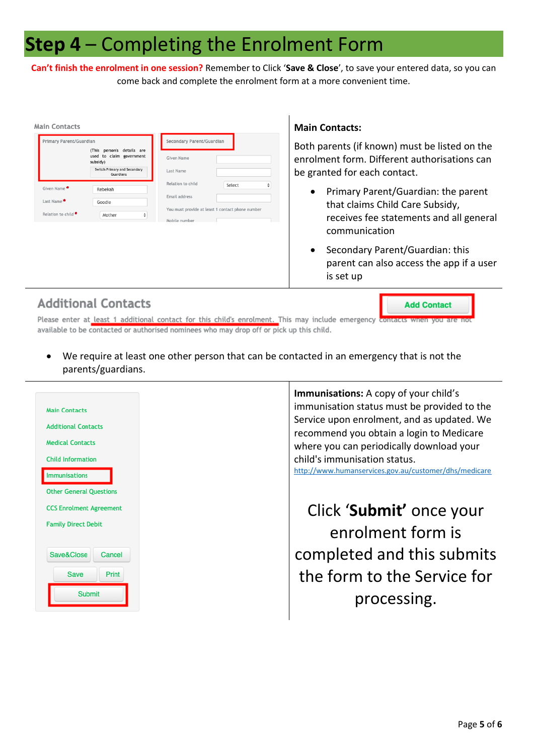#### **Step 4** – Completing the Enrolment Form

**Can't finish the enrolment in one session?** Remember to Click '**Save & Close**', to save your entered data, so you can come back and complete the enrolment form at a more convenient time.

| <b>Main Contacts</b>           |                                                                       |                                                   | <b>Main Contacts:</b>                                                                    |  |  |
|--------------------------------|-----------------------------------------------------------------------|---------------------------------------------------|------------------------------------------------------------------------------------------|--|--|
| Primary Parent/Guardian        |                                                                       | Secondary Parent/Guardian                         | Both parents (if known) must be listed on the                                            |  |  |
|                                | person's details are<br>(This<br>used to claim government<br>subsidy) | Given Name                                        | enrolment form. Different authorisations can                                             |  |  |
| Guardians                      | Switch Primary and Secondary                                          | Last Name                                         | be granted for each contact.                                                             |  |  |
| Given Name                     | Rebekah                                                               | Relation to child<br>Select<br>₹<br>Email address | Primary Parent/Guardian: the parent<br>٠                                                 |  |  |
| Last Name                      | Goodie                                                                | You must provide at least 1 contact phone number  | that claims Child Care Subsidy,                                                          |  |  |
| Relation to child <sup>*</sup> | Mother                                                                | Mobile number                                     | receives fee statements and all general                                                  |  |  |
|                                |                                                                       |                                                   | communication                                                                            |  |  |
|                                |                                                                       |                                                   | Secondary Parent/Guardian: this<br>$\bullet$<br>parent can also access the app if a user |  |  |

#### **Additional Contacts**

**Add Contact** 

is set up

Please enter at least 1 additional contact for this child's enrolment. This may include emergency contac available to be contacted or authorised nominees who may drop off or pick up this child.

• We require at least one other person that can be contacted in an emergency that is not the parents/guardians.